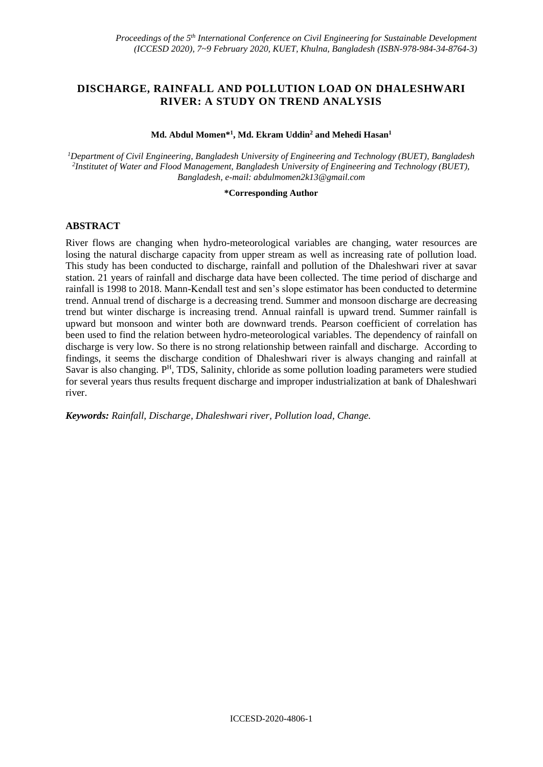# **DISCHARGE, RAINFALL AND POLLUTION LOAD ON DHALESHWARI RIVER: A STUDY ON TREND ANALYSIS**

### **Md. Abdul Momen\*<sup>1</sup> , Md. Ekram Uddin<sup>2</sup> and Mehedi Hasan<sup>1</sup>**

*<sup>1</sup>Department of Civil Engineering, Bangladesh University of Engineering and Technology (BUET), Bangladesh 2 Institutet of Water and Flood Management, Bangladesh University of Engineering and Technology (BUET), Bangladesh, e-mail: abdulmomen2k13@gmail.com*

#### **\*Corresponding Author**

## **ABSTRACT**

River flows are changing when hydro-meteorological variables are changing, water resources are losing the natural discharge capacity from upper stream as well as increasing rate of pollution load. This study has been conducted to discharge, rainfall and pollution of the Dhaleshwari river at savar station. 21 years of rainfall and discharge data have been collected. The time period of discharge and rainfall is 1998 to 2018. Mann-Kendall test and sen's slope estimator has been conducted to determine trend. Annual trend of discharge is a decreasing trend. Summer and monsoon discharge are decreasing trend but winter discharge is increasing trend. Annual rainfall is upward trend. Summer rainfall is upward but monsoon and winter both are downward trends. Pearson coefficient of correlation has been used to find the relation between hydro-meteorological variables. The dependency of rainfall on discharge is very low. So there is no strong relationship between rainfall and discharge. According to findings, it seems the discharge condition of Dhaleshwari river is always changing and rainfall at Savar is also changing. P<sup>H</sup>, TDS, Salinity, chloride as some pollution loading parameters were studied for several years thus results frequent discharge and improper industrialization at bank of Dhaleshwari river.

*Keywords: Rainfall, Discharge, Dhaleshwari river, Pollution load, Change.*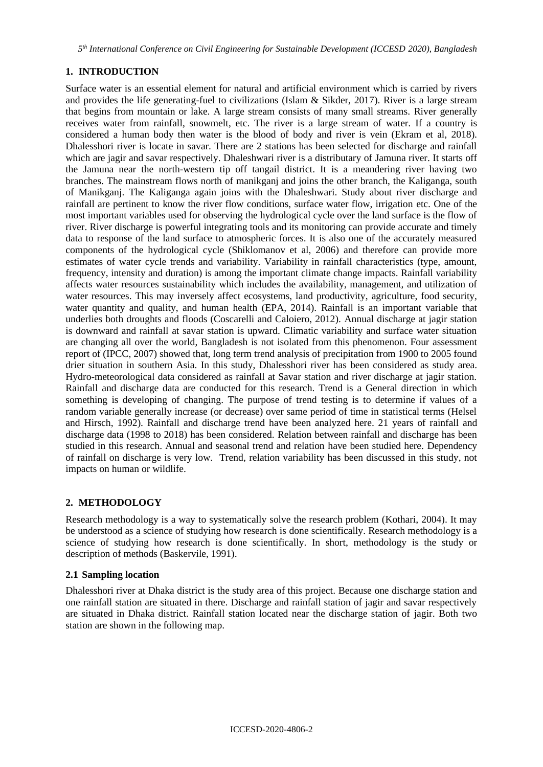*5 th International Conference on Civil Engineering for Sustainable Development (ICCESD 2020), Bangladesh*

# **1. INTRODUCTION**

Surface water is an essential element for natural and artificial environment which is carried by rivers and provides the life generating-fuel to civilizations (Islam & Sikder, 2017). River is a large stream that begins from mountain or lake. A large stream consists of many small streams. River generally receives water from rainfall, snowmelt, etc. The river is a large stream of water. If a country is considered a human body then water is the blood of body and river is vein (Ekram et al, 2018). Dhalesshori river is locate in savar. There are 2 stations has been selected for discharge and rainfall which are jagir and savar respectively. Dhaleshwari river is a distributary of Jamuna river. It starts off the Jamuna near the north-western tip off tangail district. It is a meandering river having two branches. The mainstream flows north of manikganj and joins the other branch, the Kaliganga, south of Manikganj. The Kaliganga again joins with the Dhaleshwari. Study about river discharge and rainfall are pertinent to know the river flow conditions, surface water flow, irrigation etc. One of the most important variables used for observing the hydrological cycle over the land surface is the flow of river. River discharge is powerful integrating tools and its monitoring can provide accurate and timely data to response of the land surface to atmospheric forces. It is also one of the accurately measured components of the hydrological cycle (Shiklomanov et al, 2006) and therefore can provide more estimates of water cycle trends and variability. Variability in rainfall characteristics (type, amount, frequency, intensity and duration) is among the important climate change impacts. Rainfall variability affects water resources sustainability which includes the availability, management, and utilization of water resources. This may inversely affect ecosystems, land productivity, agriculture, food security, water quantity and quality, and human health (EPA, 2014). Rainfall is an important variable that underlies both droughts and floods (Coscarelli and Caloiero, 2012). Annual discharge at jagir station is downward and rainfall at savar station is upward. Climatic variability and surface water situation are changing all over the world, Bangladesh is not isolated from this phenomenon. Four assessment report of (IPCC, 2007) showed that, long term trend analysis of precipitation from 1900 to 2005 found drier situation in southern Asia. In this study, Dhalesshori river has been considered as study area. Hydro-meteorological data considered as rainfall at Savar station and river discharge at jagir station. Rainfall and discharge data are conducted for this research. Trend is a General direction in which something is developing of changing. The purpose of trend testing is to determine if values of a random variable generally increase (or decrease) over same period of time in statistical terms (Helsel and Hirsch, 1992). Rainfall and discharge trend have been analyzed here. 21 years of rainfall and discharge data (1998 to 2018) has been considered. Relation between rainfall and discharge has been studied in this research. Annual and seasonal trend and relation have been studied here. Dependency of rainfall on discharge is very low. Trend, relation variability has been discussed in this study, not impacts on human or wildlife.

## **2. METHODOLOGY**

Research methodology is a way to systematically solve the research problem (Kothari, 2004). It may be understood as a science of studying how research is done scientifically. Research methodology is a science of studying how research is done scientifically. In short, methodology is the study or description of methods (Baskervile, 1991).

## **2.1 Sampling location**

Dhalesshori river at Dhaka district is the study area of this project. Because one discharge station and one rainfall station are situated in there. Discharge and rainfall station of jagir and savar respectively are situated in Dhaka district. Rainfall station located near the discharge station of jagir. Both two station are shown in the following map.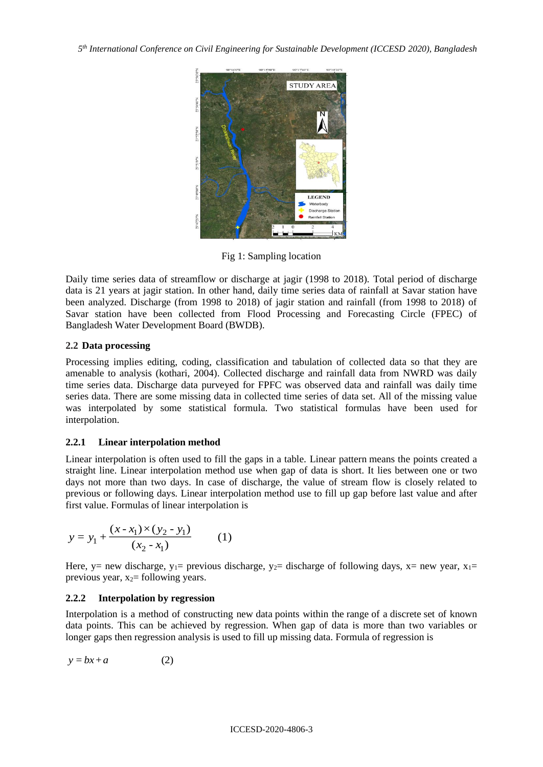*5 th International Conference on Civil Engineering for Sustainable Development (ICCESD 2020), Bangladesh*



Fig 1: Sampling location

Daily time series data of streamflow or discharge at jagir (1998 to 2018). Total period of discharge data is 21 years at jagir station. In other hand, daily time series data of rainfall at Savar station have been analyzed. Discharge (from 1998 to 2018) of jagir station and rainfall (from 1998 to 2018) of Savar station have been collected from Flood Processing and Forecasting Circle (FPEC) of Bangladesh Water Development Board (BWDB).

## **2.2 Data processing**

Processing implies editing, coding, classification and tabulation of collected data so that they are amenable to analysis (kothari, 2004). Collected discharge and rainfall data from NWRD was daily time series data. Discharge data purveyed for FPFC was observed data and rainfall was daily time series data. There are some missing data in collected time series of data set. All of the missing value was interpolated by some statistical formula. Two statistical formulas have been used for interpolation.

## **2.2.1 Linear interpolation method**

Linear interpolation is often used to fill the gaps in a table. Linear pattern means the points created a straight line. Linear interpolation method use when gap of data is short. It lies between one or two days not more than two days. In case of discharge, the value of stream flow is closely related to previous or following days. Linear interpolation method use to fill up gap before last value and after first value. Formulas of linear interpolation is

$$
y = y_1 + \frac{(x - x_1) \times (y_2 - y_1)}{(x_2 - x_1)}
$$
 (1)

Here, y= new discharge, y<sub>1</sub>= previous discharge, y<sub>2</sub>= discharge of following days, x= new year, x<sub>1</sub>= previous year,  $x_2$ = following years.

## **2.2.2 Interpolation by regression**

Interpolation is a method of constructing new data points within the range of a discrete set of known data points. This can be achieved by regression. When gap of data is more than two variables or longer gaps then regression analysis is used to fill up missing data. Formula of regression is

$$
y = bx + a \tag{2}
$$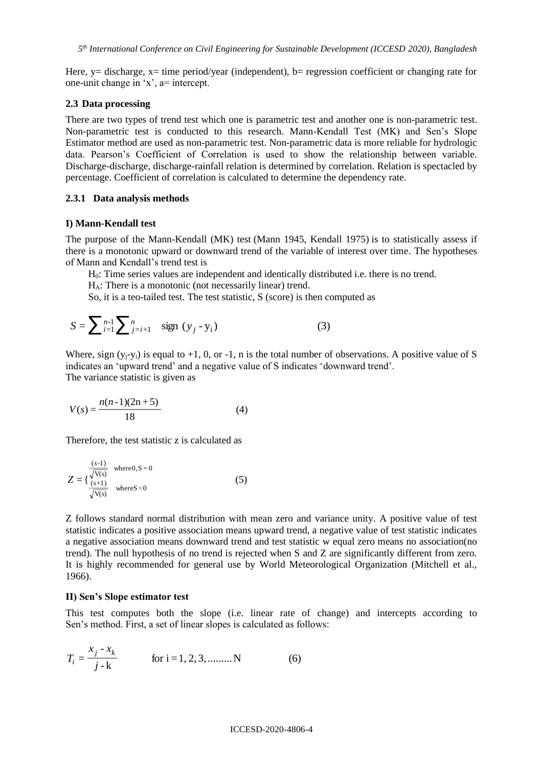Here,  $y=$  discharge,  $x=$  time period/year (independent), b= regression coefficient or changing rate for one-unit change in 'x', a= intercept.

#### **2.3 Data processing**

There are two types of trend test which one is parametric test and another one is non-parametric test. Non-parametric test is conducted to this research. Mann-Kendall Test (MK) and Sen's Slope Estimator method are used as non-parametric test. Non-parametric data is more reliable for hydrologic data. Pearson's Coefficient of Correlation is used to show the relationship between variable. Discharge-discharge, discharge-rainfall relation is determined by correlation. Relation is spectacled by percentage. Coefficient of correlation is calculated to determine the dependency rate.

### **2.3.1 Data analysis methods**

#### **I) Mann-Kendall test**

The purpose of the Mann-Kendall (MK) test (Mann 1945, Kendall 1975) is to statistically assess if there is a monotonic upward or downward trend of the variable of interest over time. The hypotheses of Mann and Kendall's trend test is

H0: Time series values are independent and identically distributed i.e. there is no trend.

HA: There is a monotonic (not necessarily linear) trend.

So, it is a teo-tailed test. The test statistic, S (score) is then computed as

$$
S = \sum_{i=1}^{n-1} \sum_{j=i+1}^{n} sign (y_j - y_i)
$$
 (3)

Where, sign  $(y_i-y_i)$  is equal to +1, 0, or -1, n is the total number of observations. A positive value of S indicates an 'upward trend' and a negative value of S indicates 'downward trend'. The variance statistic is given as

$$
V(s) = \frac{n(n-1)(2n+5)}{18}
$$
 (4)

Therefore, the test statistic z is calculated as

$$
Z = \begin{cases} \frac{(s-1)}{\sqrt{V(s)}} & \text{where } 0, S = 0\\ \frac{(s+1)}{\sqrt{V(s)}} & \text{where } S < 0 \end{cases} \tag{5}
$$

Z follows standard normal distribution with mean zero and variance unity. A positive value of test statistic indicates a positive association means upward trend, a negative value of test statistic indicates a negative association means downward trend and test statistic w equal zero means no association(no trend). The null hypothesis of no trend is rejected when S and Z are significantly different from zero. It is highly recommended for general use by World Meteorological Organization (Mitchell et al., 1966).

#### **II) Sen's Slope estimator test**

This test computes both the slope (i.e. linear rate of change) and intercepts according to Sen's method. First, a set of linear slopes is calculated as follows:

$$
T_i = \frac{x_j - x_k}{j - k}
$$
 for i = 1, 2, 3, ......... N (6)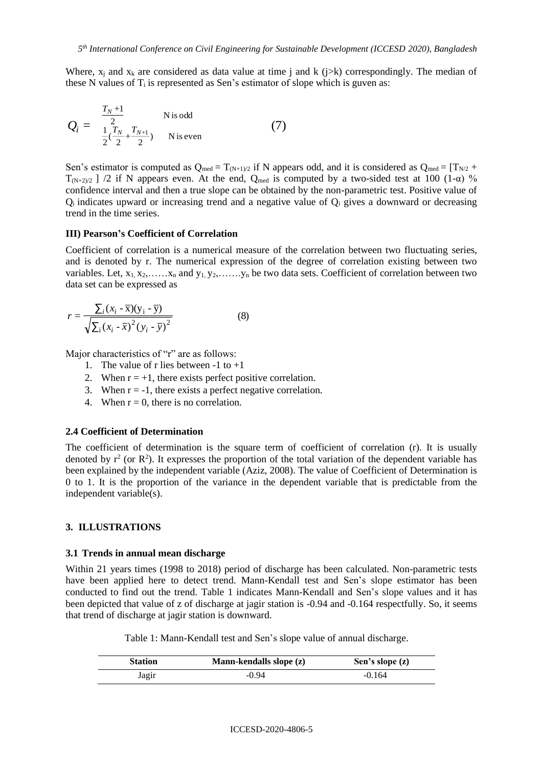Where,  $x_i$  and  $x_k$  are considered as data value at time j and k (j>k) correspondingly. The median of these N values of  $T_i$  is represented as Sen's estimator of slope which is guven as:

$$
Q_{i} = \frac{\frac{T_{N}+1}{2}}{\frac{1}{2}(\frac{T_{N}}{2} + \frac{T_{N+1}}{2})}
$$
 Nis odd (7)

Sen's estimator is computed as  $Q_{\text{med}} = T_{(N+1)/2}$  if N appears odd, and it is considered as  $Q_{\text{med}} = [T_{N/2} +$  $T_{(N+2)/2}$  /2 if N appears even. At the end, Q<sub>med</sub> is computed by a two-sided test at 100 (1-α) % confidence interval and then a true slope can be obtained by the non-parametric test. Positive value of  $Q_i$  indicates upward or increasing trend and a negative value of  $Q_i$  gives a downward or decreasing trend in the time series.

### **III) Pearson's Coefficient of Correlation**

Coefficient of correlation is a numerical measure of the correlation between two fluctuating series, and is denoted by r. The numerical expression of the degree of correlation existing between two variables. Let,  $x_1, x_2, \ldots, x_n$  and  $y_1, y_2, \ldots, y_n$  be two data sets. Coefficient of correlation between two data set can be expressed as

$$
r = \frac{\sum_{i} (x_i - \overline{x})(y_i - \overline{y})}{\sqrt{\sum_{i} (x_i - \overline{x})^2 (y_i - \overline{y})^2}}
$$
(8)

Major characteristics of "r" are as follows:

- 1. The value of r lies between  $-1$  to  $+1$
- 2. When  $r = +1$ , there exists perfect positive correlation.
- 3. When  $r = -1$ , there exists a perfect negative correlation.
- 4. When  $r = 0$ , there is no correlation.

#### **2.4 Coefficient of Determination**

The coefficient of determination is the square term of coefficient of correlation (r). It is usually denoted by  $r^2$  (or  $\mathbb{R}^2$ ). It expresses the proportion of the total variation of the dependent variable has been explained by the independent variable (Aziz, 2008). The value of Coefficient of Determination is 0 to 1. It is the proportion of the variance in the dependent variable that is predictable from the independent variable(s).

#### **3. ILLUSTRATIONS**

#### **3.1 Trends in annual mean discharge**

Within 21 years times (1998 to 2018) period of discharge has been calculated. Non-parametric tests have been applied here to detect trend. Mann-Kendall test and Sen's slope estimator has been conducted to find out the trend. Table 1 indicates Mann-Kendall and Sen's slope values and it has been depicted that value of z of discharge at jagir station is -0.94 and -0.164 respectfully. So, it seems that trend of discharge at jagir station is downward.

Table 1: Mann-Kendall test and Sen's slope value of annual discharge.

| Station | Mann-kendalls slope (z) | Sen's slope $(z)$ |
|---------|-------------------------|-------------------|
| Jagir   | $-0.94$                 | $-0.164$          |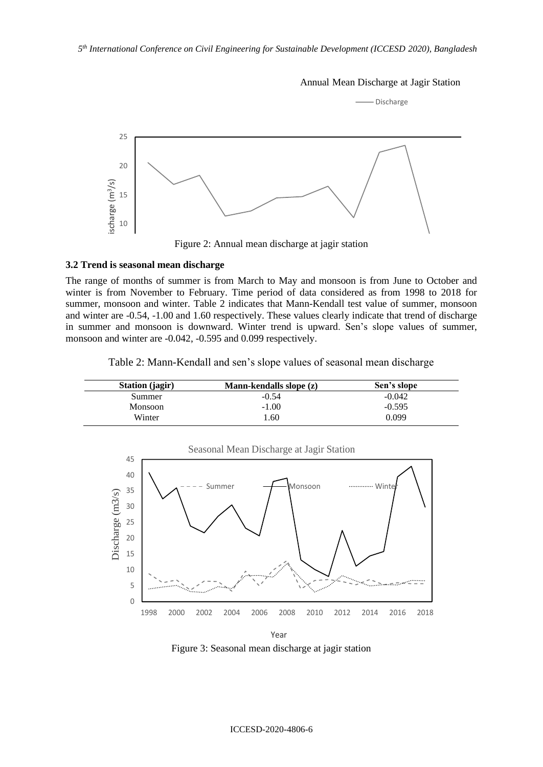Annual Mean Discharge at Jagir Station



#### **3.2 Trend is seasonal mean discharge**

The range of months of summer is from March to May and monsoon is from June to October and winter is from November to February. Time period of data considered as from 1998 to 2018 for summer, monsoon and winter. Table 2 indicates that Mann-Kendall test value of summer, monsoon and winter are -0.54, -1.00 and 1.60 respectively. These values clearly indicate that trend of discharge in summer and monsoon is downward. Winter trend is upward. Sen's slope values of summer, monsoon and winter are -0.042, -0.595 and 0.099 respectively.

Table 2: Mann-Kendall and sen's slope values of seasonal mean discharge

| <b>Station</b> (jagir) | Mann-kendalls slope (z) | Sen's slope |
|------------------------|-------------------------|-------------|
| Summer                 | $-0.54$                 | $-0.042$    |
| Monsoon                | $-1.00$                 | $-0.595$    |
| Winter                 | 1.60                    | 0.099       |



Figure 3: Seasonal mean discharge at jagir station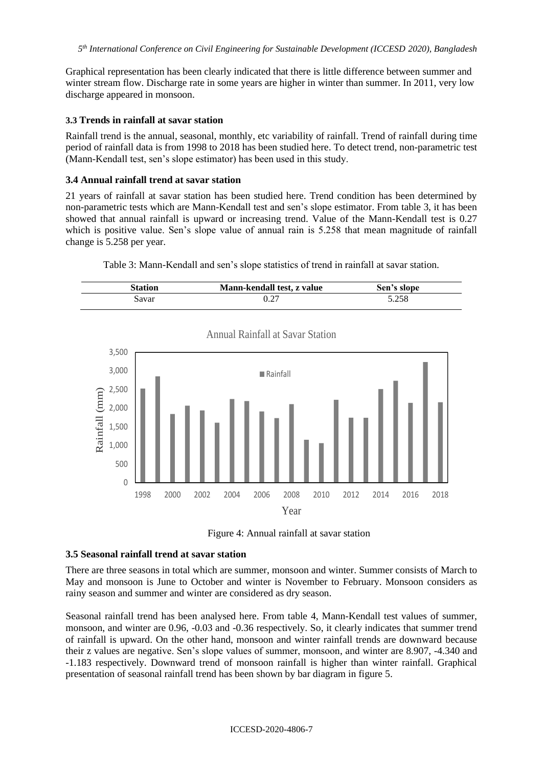Graphical representation has been clearly indicated that there is little difference between summer and winter stream flow. Discharge rate in some years are higher in winter than summer. In 2011, very low discharge appeared in monsoon.

## **3.3 Trends in rainfall at savar station**

Rainfall trend is the annual, seasonal, monthly, etc variability of rainfall. Trend of rainfall during time period of rainfall data is from 1998 to 2018 has been studied here. To detect trend, non-parametric test (Mann-Kendall test, sen's slope estimator) has been used in this study.

### **3.4 Annual rainfall trend at savar station**

21 years of rainfall at savar station has been studied here. Trend condition has been determined by non-parametric tests which are Mann-Kendall test and sen's slope estimator. From table 3, it has been showed that annual rainfall is upward or increasing trend. Value of the Mann-Kendall test is 0.27 which is positive value. Sen's slope value of annual rain is 5.258 that mean magnitude of rainfall change is 5.258 per year.



Table 3: Mann-Kendall and sen's slope statistics of trend in rainfall at savar station.

Annual Rainfall at Savar Station





## **3.5 Seasonal rainfall trend at savar station**

There are three seasons in total which are summer, monsoon and winter. Summer consists of March to May and monsoon is June to October and winter is November to February. Monsoon considers as rainy season and summer and winter are considered as dry season.

Seasonal rainfall trend has been analysed here. From table 4, Mann-Kendall test values of summer, monsoon, and winter are 0.96, -0.03 and -0.36 respectively. So, it clearly indicates that summer trend of rainfall is upward. On the other hand, monsoon and winter rainfall trends are downward because their z values are negative. Sen's slope values of summer, monsoon, and winter are 8.907, -4.340 and -1.183 respectively. Downward trend of monsoon rainfall is higher than winter rainfall. Graphical presentation of seasonal rainfall trend has been shown by bar diagram in figure 5.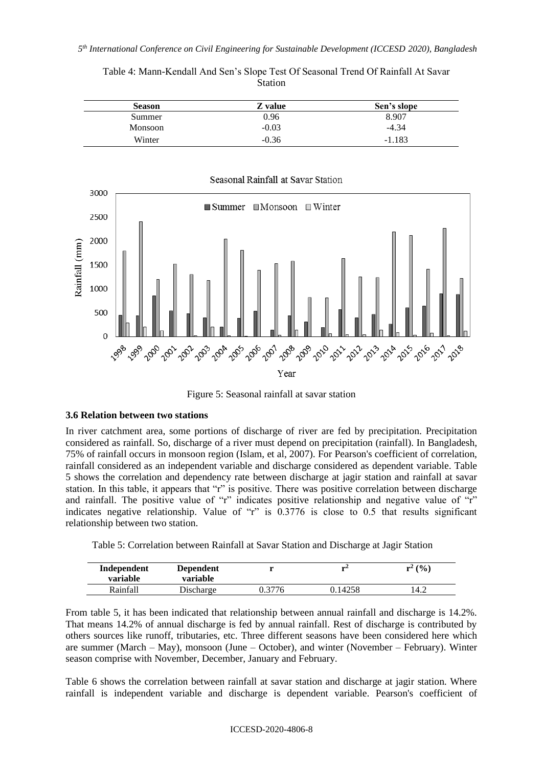*5 th International Conference on Civil Engineering for Sustainable Development (ICCESD 2020), Bangladesh*

| <b>Season</b> | Z value | Sen's slope |
|---------------|---------|-------------|
| Summer        | 0.96    | 8.907       |
| Monsoon       | $-0.03$ | $-4.34$     |
| Winter        | $-0.36$ | $-1.183$    |





Figure 5: Seasonal rainfall at savar station

### **3.6 Relation between two stations**

In river catchment area, some portions of discharge of river are fed by precipitation. Precipitation considered as rainfall. So, discharge of a river must depend on precipitation (rainfall). In Bangladesh, 75% of rainfall occurs in monsoon region (Islam, et al, 2007). For Pearson's coefficient of correlation, rainfall considered as an independent variable and discharge considered as dependent variable. Table 5 shows the correlation and dependency rate between discharge at jagir station and rainfall at savar station. In this table, it appears that "r" is positive. There was positive correlation between discharge and rainfall. The positive value of "r" indicates positive relationship and negative value of "r" indicates negative relationship. Value of "r" is 0.3776 is close to 0.5 that results significant relationship between two station.

Table 5: Correlation between Rainfall at Savar Station and Discharge at Jagir Station

| Independent<br>variable | <b>Dependent</b><br>variable |        | тA      | $r^2$ (%) |
|-------------------------|------------------------------|--------|---------|-----------|
| Rainfall                | Discharge                    | 0.3776 | 0.14258 | !4.2      |

From table 5, it has been indicated that relationship between annual rainfall and discharge is 14.2%. That means 14.2% of annual discharge is fed by annual rainfall. Rest of discharge is contributed by others sources like runoff, tributaries, etc. Three different seasons have been considered here which are summer (March – May), monsoon (June – October), and winter (November – February). Winter season comprise with November, December, January and February.

Table 6 shows the correlation between rainfall at savar station and discharge at jagir station. Where rainfall is independent variable and discharge is dependent variable. Pearson's coefficient of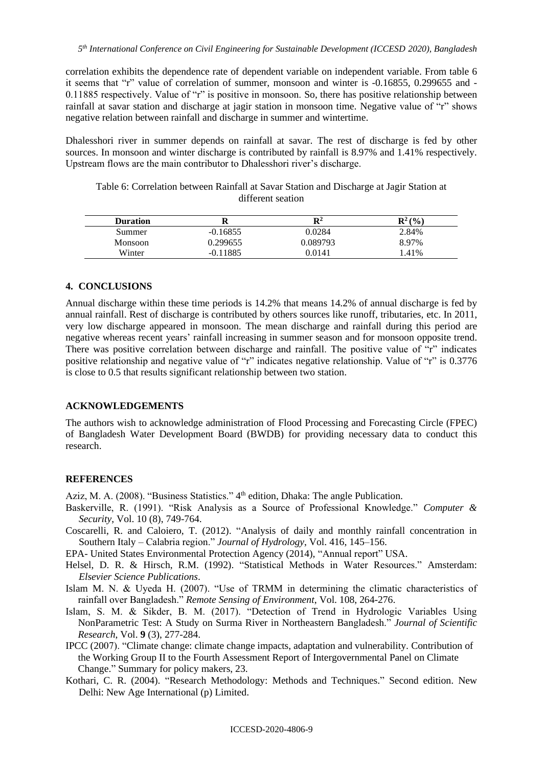correlation exhibits the dependence rate of dependent variable on independent variable. From table 6 it seems that "r" value of correlation of summer, monsoon and winter is -0.16855, 0.299655 and - 0.11885 respectively. Value of "r" is positive in monsoon. So, there has positive relationship between rainfall at savar station and discharge at jagir station in monsoon time. Negative value of "r" shows negative relation between rainfall and discharge in summer and wintertime.

Dhalesshori river in summer depends on rainfall at savar. The rest of discharge is fed by other sources. In monsoon and winter discharge is contributed by rainfall is 8.97% and 1.41% respectively. Upstream flows are the main contributor to Dhalesshori river's discharge.

| Table 6: Correlation between Rainfall at Savar Station and Discharge at Jagir Station at |
|------------------------------------------------------------------------------------------|
| different seation                                                                        |

| <b>Duration</b> | ĸ          | $\mathbf{R}^2$ | ${\bf R}^{2}({\cal Y}_{0})$ |
|-----------------|------------|----------------|-----------------------------|
| Summer          | $-0.16855$ | 0.0284         | 2.84%                       |
| Monsoon         | 0.299655   | 0.089793       | 8.97%                       |
| Winter          | $-0.11885$ | 0.0141         | 1.41%                       |

### **4. CONCLUSIONS**

Annual discharge within these time periods is 14.2% that means 14.2% of annual discharge is fed by annual rainfall. Rest of discharge is contributed by others sources like runoff, tributaries, etc. In 2011, very low discharge appeared in monsoon. The mean discharge and rainfall during this period are negative whereas recent years' rainfall increasing in summer season and for monsoon opposite trend. There was positive correlation between discharge and rainfall. The positive value of "r" indicates positive relationship and negative value of "r" indicates negative relationship. Value of "r" is 0.3776 is close to 0.5 that results significant relationship between two station.

### **ACKNOWLEDGEMENTS**

The authors wish to acknowledge administration of Flood Processing and Forecasting Circle (FPEC) of Bangladesh Water Development Board (BWDB) for providing necessary data to conduct this research.

## **REFERENCES**

Aziz, M. A. (2008). "Business Statistics." 4<sup>th</sup> edition, Dhaka: The angle Publication.

- Baskerville, R. (1991). "Risk Analysis as a Source of Professional Knowledge." *Computer & Security*, Vol. 10 (8), 749-764.
- Coscarelli, R. and Caloiero, T. (2012). "Analysis of daily and monthly rainfall concentration in Southern Italy – Calabria region." *Journal of Hydrology*, Vol. 416, 145–156.
- EPA- United States Environmental Protection Agency (2014), "Annual report" USA.
- Helsel, D. R. & Hirsch, R.M. (1992). "Statistical Methods in Water Resources." Amsterdam: *Elsevier Science Publications*.
- Islam M. N. & Uyeda H. (2007). "Use of TRMM in determining the climatic characteristics of rainfall over Bangladesh." *Remote Sensing of Environment*, Vol. 108, 264-276.
- Islam, S. M. & Sikder, B. M. (2017). "Detection of Trend in Hydrologic Variables Using NonParametric Test: A Study on Surma River in Northeastern Bangladesh." *Journal of Scientific Research*, Vol. **9** (3), 277-284.
- IPCC (2007). "Climate change: climate change impacts, adaptation and vulnerability. Contribution of the Working Group II to the Fourth Assessment Report of Intergovernmental Panel on Climate Change." Summary for policy makers, 23.
- Kothari, C. R. (2004). "Research Methodology: Methods and Techniques." Second edition. New Delhi: New Age International (p) Limited.